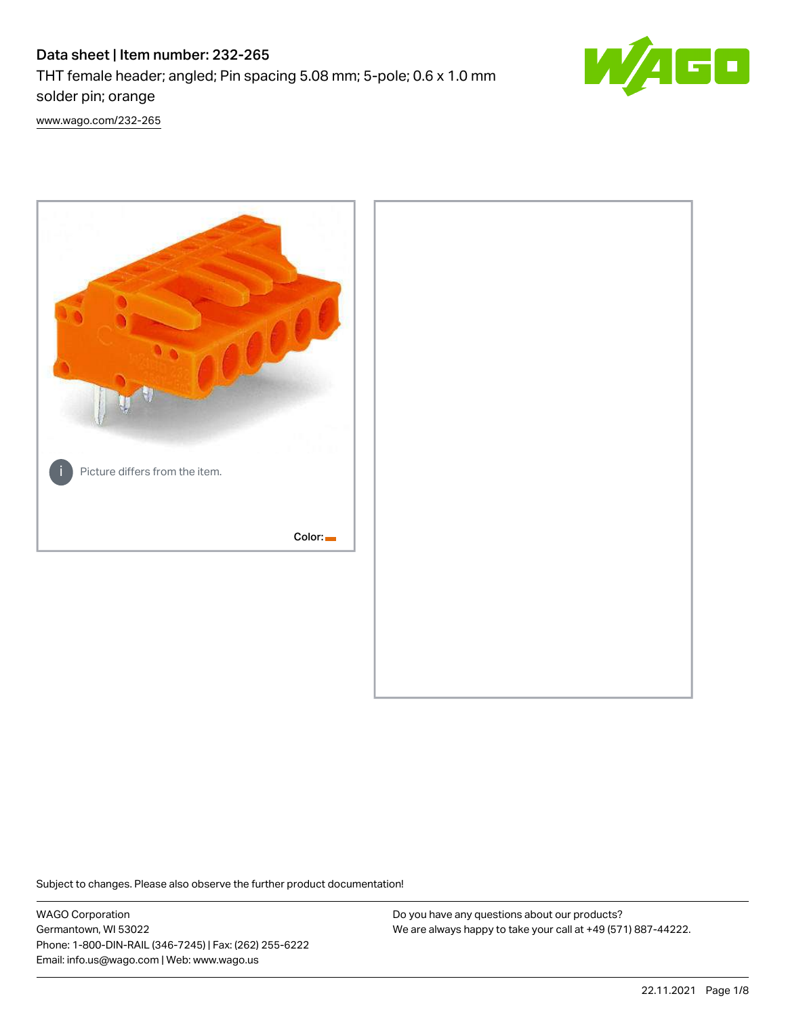# Data sheet | Item number: 232-265

THT female header; angled; Pin spacing 5.08 mm; 5-pole; 0.6 x 1.0 mm solder pin; orange



[www.wago.com/232-265](http://www.wago.com/232-265)



Subject to changes. Please also observe the further product documentation!

WAGO Corporation Germantown, WI 53022 Phone: 1-800-DIN-RAIL (346-7245) | Fax: (262) 255-6222 Email: info.us@wago.com | Web: www.wago.us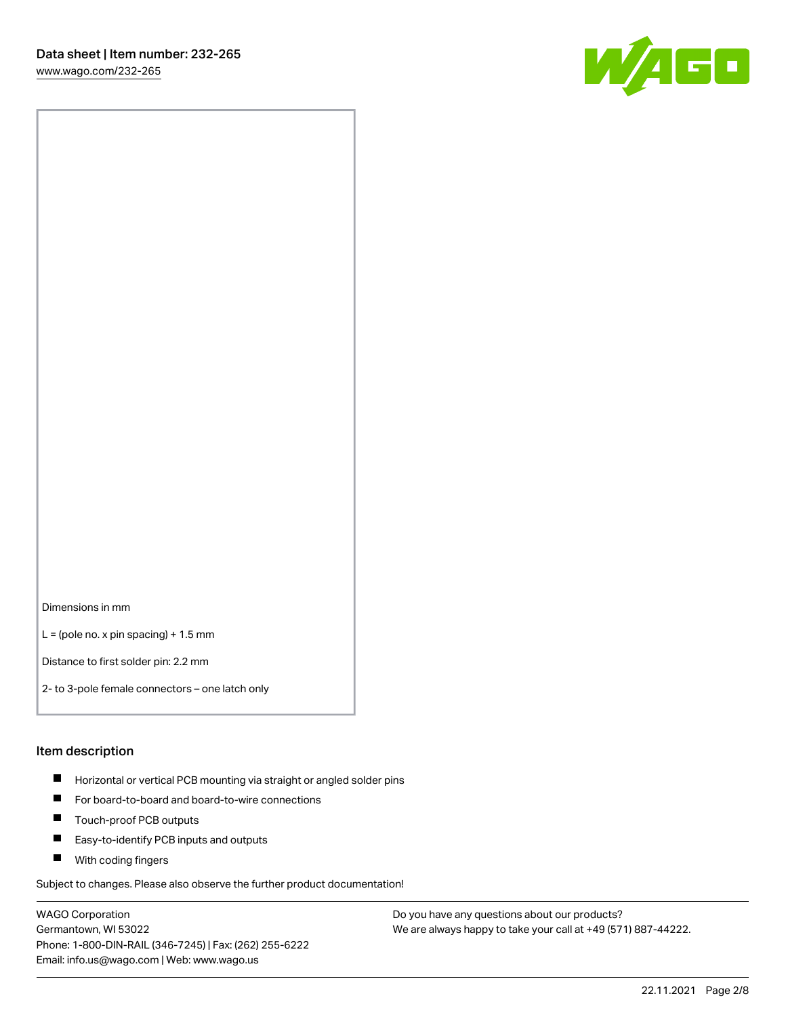

Dimensions in mm

 $L =$  (pole no. x pin spacing) + 1.5 mm

Distance to first solder pin: 2.2 mm

2- to 3-pole female connectors – one latch only

#### Item description

- **Horizontal or vertical PCB mounting via straight or angled solder pins**
- For board-to-board and board-to-wire connections
- $\blacksquare$ Touch-proof PCB outputs
- $\blacksquare$ Easy-to-identify PCB inputs and outputs
- **Now With coding fingers**

Subject to changes. Please also observe the further product documentation!

WAGO Corporation Germantown, WI 53022 Phone: 1-800-DIN-RAIL (346-7245) | Fax: (262) 255-6222 Email: info.us@wago.com | Web: www.wago.us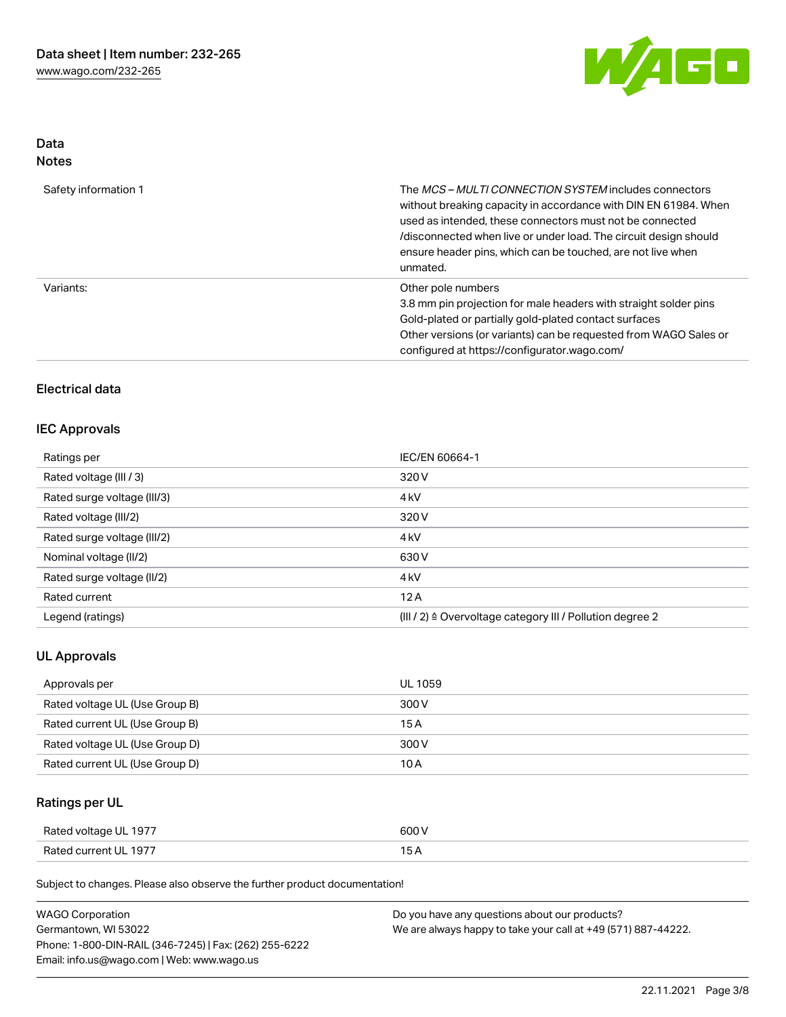

### Data Notes

| Safety information 1 | The <i>MCS – MULTI CONNECTION SYSTEM</i> includes connectors<br>without breaking capacity in accordance with DIN EN 61984. When<br>used as intended, these connectors must not be connected<br>/disconnected when live or under load. The circuit design should<br>ensure header pins, which can be touched, are not live when<br>unmated. |
|----------------------|--------------------------------------------------------------------------------------------------------------------------------------------------------------------------------------------------------------------------------------------------------------------------------------------------------------------------------------------|
| Variants:            | Other pole numbers<br>3.8 mm pin projection for male headers with straight solder pins<br>Gold-plated or partially gold-plated contact surfaces<br>Other versions (or variants) can be requested from WAGO Sales or<br>configured at https://configurator.wago.com/                                                                        |

## Electrical data

### IEC Approvals

| Ratings per                 | IEC/EN 60664-1                                                       |
|-----------------------------|----------------------------------------------------------------------|
| Rated voltage (III / 3)     | 320 V                                                                |
| Rated surge voltage (III/3) | 4 <sub>k</sub> V                                                     |
| Rated voltage (III/2)       | 320 V                                                                |
| Rated surge voltage (III/2) | 4 <sub>k</sub> V                                                     |
| Nominal voltage (II/2)      | 630 V                                                                |
| Rated surge voltage (II/2)  | 4 <sub>k</sub> V                                                     |
| Rated current               | 12A                                                                  |
| Legend (ratings)            | (III / 2) $\triangleq$ Overvoltage category III / Pollution degree 2 |

## UL Approvals

| Approvals per                  | UL 1059 |
|--------------------------------|---------|
| Rated voltage UL (Use Group B) | 300 V   |
| Rated current UL (Use Group B) | 15 A    |
| Rated voltage UL (Use Group D) | 300 V   |
| Rated current UL (Use Group D) | 10 A    |

## Ratings per UL

| Rated voltage UL 1977 | 600 V |
|-----------------------|-------|
| Rated current UL 1977 |       |

Subject to changes. Please also observe the further product documentation!

| <b>WAGO Corporation</b>                                | Do you have any questions about our products?                 |
|--------------------------------------------------------|---------------------------------------------------------------|
| Germantown, WI 53022                                   | We are always happy to take your call at +49 (571) 887-44222. |
| Phone: 1-800-DIN-RAIL (346-7245)   Fax: (262) 255-6222 |                                                               |
| Email: info.us@wago.com   Web: www.wago.us             |                                                               |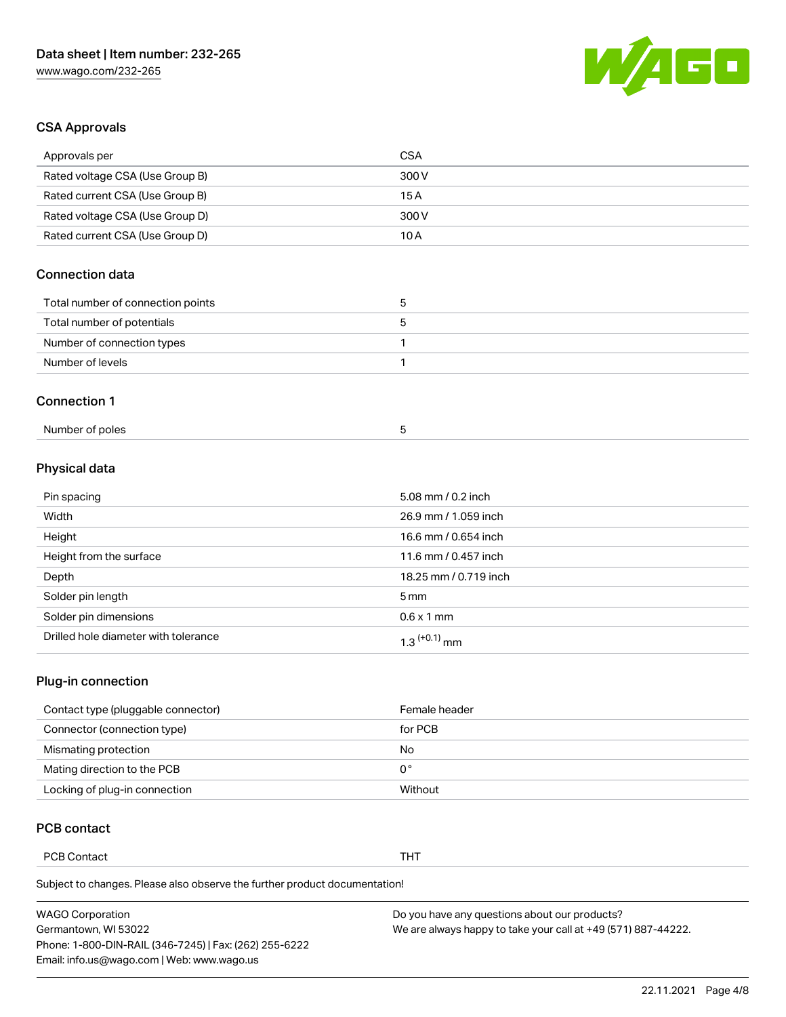

## CSA Approvals

| Approvals per                     | <b>CSA</b>   |
|-----------------------------------|--------------|
| Rated voltage CSA (Use Group B)   | 300 V        |
| Rated current CSA (Use Group B)   | 15A          |
| Rated voltage CSA (Use Group D)   | 300 V        |
| Rated current CSA (Use Group D)   | 10 A         |
| <b>Connection data</b>            |              |
| Total number of connection points | 5            |
|                                   |              |
| Total number of potentials        | 5            |
| Number of connection types        | $\mathbf{1}$ |
| Number of levels                  | 1            |
| <b>Connection 1</b>               |              |

## Physical data

| Pin spacing                          | 5.08 mm / 0.2 inch       |
|--------------------------------------|--------------------------|
| Width                                | 26.9 mm / 1.059 inch     |
| Height                               | 16.6 mm / 0.654 inch     |
| Height from the surface              | 11.6 mm / 0.457 inch     |
| Depth                                | 18.25 mm / 0.719 inch    |
| Solder pin length                    | $5 \,\mathrm{mm}$        |
| Solder pin dimensions                | $0.6 \times 1$ mm        |
| Drilled hole diameter with tolerance | 1.3 <sup>(+0.1)</sup> mm |

## Plug-in connection

| Contact type (pluggable connector) | Female header |
|------------------------------------|---------------|
| Connector (connection type)        | for PCB       |
| Mismating protection               | No            |
| Mating direction to the PCB        | 0°            |
| Locking of plug-in connection      | Without       |

### PCB contact

PCB Contact **THT** 

Subject to changes. Please also observe the further product documentation!

| <b>WAGO Corporation</b>                                | Do you have any questions about our products?                 |
|--------------------------------------------------------|---------------------------------------------------------------|
| Germantown, WI 53022                                   | We are always happy to take your call at +49 (571) 887-44222. |
| Phone: 1-800-DIN-RAIL (346-7245)   Fax: (262) 255-6222 |                                                               |
| Email: info.us@wago.com   Web: www.wago.us             |                                                               |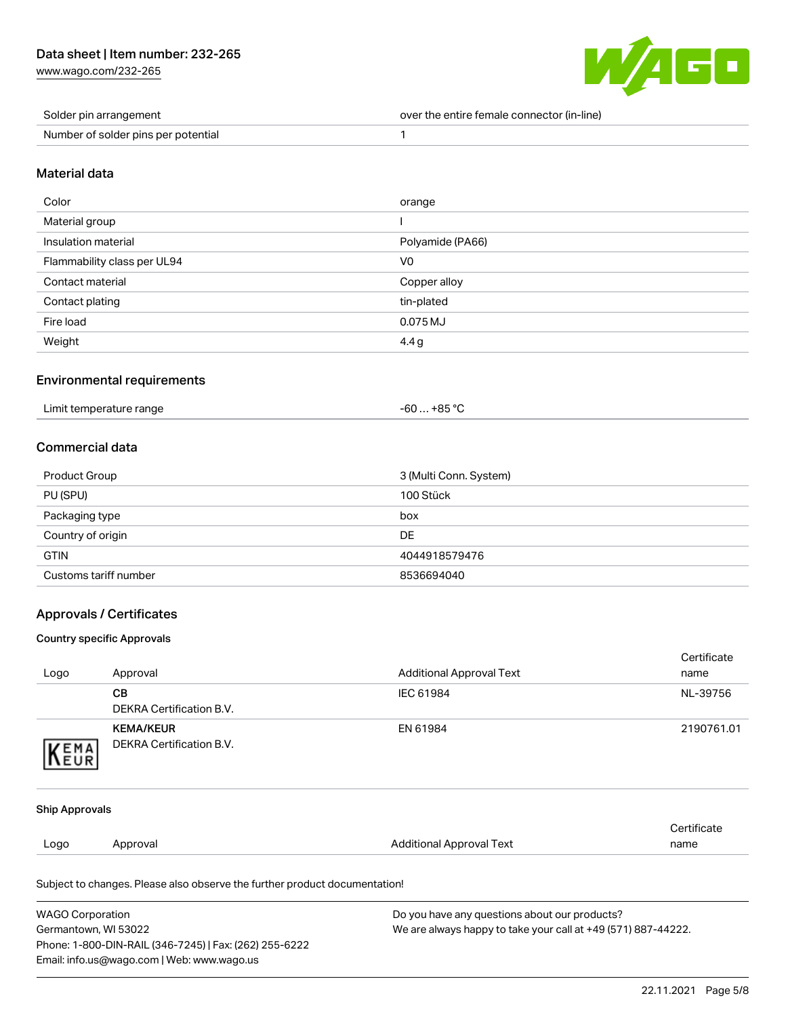[www.wago.com/232-265](http://www.wago.com/232-265)



| Solder pin arrangement              | over the entire female connector (in-line) |
|-------------------------------------|--------------------------------------------|
| Number of solder pins per potential |                                            |

#### Material data

| Color                       | orange           |
|-----------------------------|------------------|
| Material group              |                  |
| Insulation material         | Polyamide (PA66) |
| Flammability class per UL94 | V <sub>0</sub>   |
| Contact material            | Copper alloy     |
| Contact plating             | tin-plated       |
| Fire load                   | 0.075 MJ         |
| Weight                      | 4.4 <sub>g</sub> |

### Environmental requirements

| Limit temperature range | $-60+85 °C$ |
|-------------------------|-------------|
|                         |             |

### Commercial data

| Product Group         | 3 (Multi Conn. System) |
|-----------------------|------------------------|
| PU (SPU)              | 100 Stück              |
| Packaging type        | box                    |
| Country of origin     | DE                     |
| <b>GTIN</b>           | 4044918579476          |
| Customs tariff number | 8536694040             |

#### Approvals / Certificates

#### Country specific Approvals

Phone: 1-800-DIN-RAIL (346-7245) | Fax: (262) 255-6222

Email: info.us@wago.com | Web: www.wago.us

|                                                                                       |                                                                            |                                 | Certificate |
|---------------------------------------------------------------------------------------|----------------------------------------------------------------------------|---------------------------------|-------------|
| Logo                                                                                  | Approval                                                                   | <b>Additional Approval Text</b> | name        |
|                                                                                       | <b>CB</b>                                                                  | IEC 61984                       | NL-39756    |
|                                                                                       | <b>DEKRA Certification B.V.</b>                                            |                                 |             |
|                                                                                       | <b>KEMA/KEUR</b>                                                           | EN 61984                        | 2190761.01  |
| <b>EMA</b>                                                                            | <b>DEKRA Certification B.V.</b>                                            |                                 |             |
|                                                                                       |                                                                            |                                 |             |
|                                                                                       |                                                                            |                                 |             |
| <b>Ship Approvals</b>                                                                 |                                                                            |                                 |             |
|                                                                                       |                                                                            |                                 | Certificate |
| Logo                                                                                  | Approval                                                                   | <b>Additional Approval Text</b> | name        |
|                                                                                       | Subject to changes. Please also observe the further product documentation! |                                 |             |
| <b>WAGO Corporation</b>                                                               | Do you have any questions about our products?                              |                                 |             |
| Germantown, WI 53022<br>We are always happy to take your call at +49 (571) 887-44222. |                                                                            |                                 |             |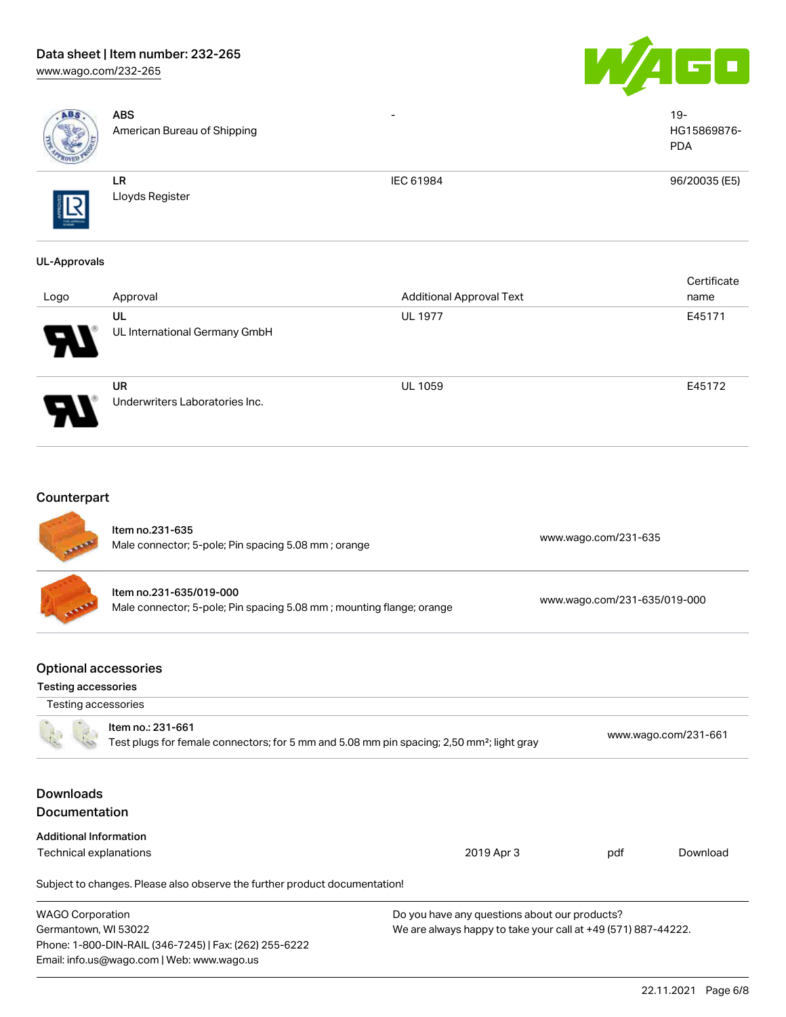### Data sheet | Item number: 232-265 [www.wago.com/232-265](http://www.wago.com/232-265)





| ABS                                                                       | <b>ABS</b><br>American Bureau of Shipping                                                            |                                                                                                                |                      | $19 -$<br>HG15869876-<br><b>PDA</b> |
|---------------------------------------------------------------------------|------------------------------------------------------------------------------------------------------|----------------------------------------------------------------------------------------------------------------|----------------------|-------------------------------------|
|                                                                           | LR<br>Lloyds Register                                                                                | IEC 61984                                                                                                      |                      | 96/20035 (E5)                       |
| <b>UL-Approvals</b>                                                       |                                                                                                      |                                                                                                                |                      |                                     |
| Logo                                                                      | Approval                                                                                             | <b>Additional Approval Text</b>                                                                                |                      | Certificate<br>name                 |
|                                                                           | UL<br>UL International Germany GmbH                                                                  | <b>UL 1977</b>                                                                                                 |                      | E45171                              |
|                                                                           | <b>UR</b><br>Underwriters Laboratories Inc.                                                          | <b>UL 1059</b>                                                                                                 |                      | E45172                              |
| Counterpart                                                               | Item no.231-635<br>Male connector; 5-pole; Pin spacing 5.08 mm; orange                               |                                                                                                                | www.wago.com/231-635 |                                     |
|                                                                           | Item no.231-635/019-000<br>Male connector; 5-pole; Pin spacing 5.08 mm; mounting flange; orange      | www.wago.com/231-635/019-000                                                                                   |                      |                                     |
| <b>Optional accessories</b><br>Testing accessories<br>Testing accessories |                                                                                                      |                                                                                                                |                      |                                     |
|                                                                           | Item no.: 231-661                                                                                    | Test plugs for female connectors; for 5 mm and 5.08 mm pin spacing; 2,50 mm <sup>2</sup> ; light gray          |                      | www.wago.com/231-661                |
| <b>Downloads</b><br>Documentation                                         |                                                                                                      |                                                                                                                |                      |                                     |
| <b>Additional Information</b>                                             |                                                                                                      |                                                                                                                |                      |                                     |
| Technical explanations                                                    |                                                                                                      | 2019 Apr 3                                                                                                     | pdf                  | Download                            |
|                                                                           | Subject to changes. Please also observe the further product documentation!                           |                                                                                                                |                      |                                     |
| <b>WAGO Corporation</b><br>Germantown, WI 53022                           | Phone: 1-800-DIN-RAIL (346-7245)   Fax: (262) 255-6222<br>Email: info.us@wago.com   Web: www.wago.us | Do you have any questions about our products?<br>We are always happy to take your call at +49 (571) 887-44222. |                      |                                     |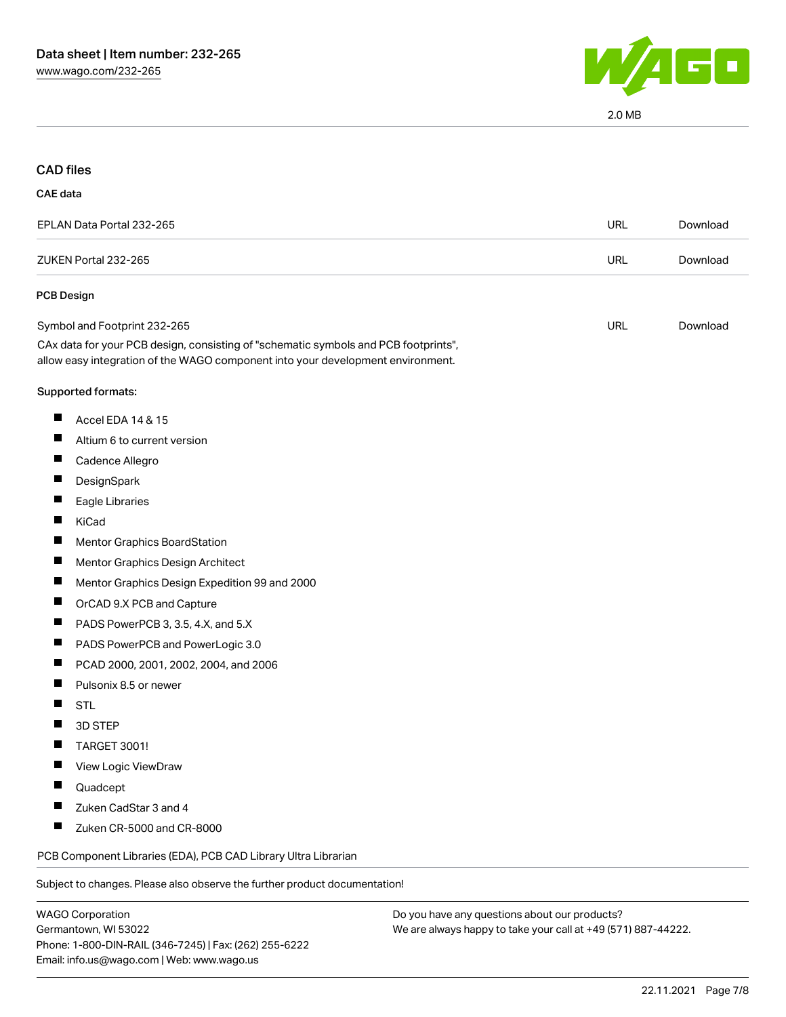

2.0 MB

### CAD files

#### CAE data

| EPLAN Data Portal 232-265                                                                                                                                                                              | URL | Download |
|--------------------------------------------------------------------------------------------------------------------------------------------------------------------------------------------------------|-----|----------|
| ZUKEN Portal 232-265                                                                                                                                                                                   | URL | Download |
| <b>PCB Design</b>                                                                                                                                                                                      |     |          |
| Symbol and Footprint 232-265<br>CAx data for your PCB design, consisting of "schematic symbols and PCB footprints",<br>allow easy integration of the WAGO component into your development environment. | URL | Download |

# Supported formats:

- $\blacksquare$ Accel EDA 14 & 15
- $\blacksquare$ Altium 6 to current version
- $\blacksquare$ Cadence Allegro
- $\blacksquare$ **DesignSpark**
- $\blacksquare$ Eagle Libraries
- $\blacksquare$ KiCad
- $\blacksquare$ Mentor Graphics BoardStation
- $\blacksquare$ Mentor Graphics Design Architect
- $\blacksquare$ Mentor Graphics Design Expedition 99 and 2000
- $\blacksquare$ OrCAD 9.X PCB and Capture
- $\blacksquare$ PADS PowerPCB 3, 3.5, 4.X, and 5.X
- $\blacksquare$ PADS PowerPCB and PowerLogic 3.0
- $\blacksquare$ PCAD 2000, 2001, 2002, 2004, and 2006
- $\blacksquare$ Pulsonix 8.5 or newer
- П **STL**
- $\blacksquare$ 3D STEP
- TARGET 3001!  $\blacksquare$
- $\blacksquare$ View Logic ViewDraw
- $\blacksquare$ Quadcept
- $\blacksquare$ Zuken CadStar 3 and 4
- $\blacksquare$ Zuken CR-5000 and CR-8000

PCB Component Libraries (EDA), PCB CAD Library Ultra Librarian

Subject to changes. Please also observe the further product documentation!